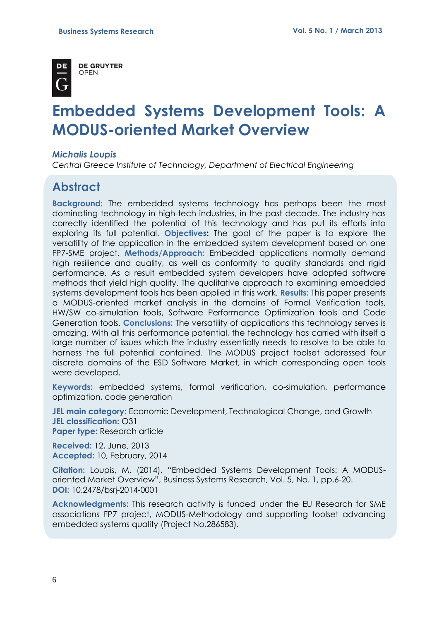

**DE GRUYTER** OPFN

# **Embedded Systems Development Tools: A MODUS-oriented Market Overview**

#### *Michalis Loupis*

*Central Greece Institute of Technology, Department of Electrical Engineering*

# **Abstract**

**Background:** The embedded systems technology has perhaps been the most dominating technology in high-tech industries, in the past decade. The industry has correctly identified the potential of this technology and has put its efforts into exploring its full potential. **Objectives:** The goal of the paper is to explore the versatility of the application in the embedded system development based on one FP7-SME project. **Methods/Approach:** Embedded applications normally demand high resilience and quality, as well as conformity to quality standards and rigid performance. As a result embedded system developers have adopted software methods that yield high quality. The qualitative approach to examining embedded systems development tools has been applied in this work. **Results:** This paper presents a MODUS-oriented market analysis in the domains of Formal Verification tools, HW/SW co-simulation tools, Software Performance Optimization tools and Code Generation tools. **Conclusions:** The versatility of applications this technology serves is amazing. With all this performance potential, the technology has carried with itself a large number of issues which the industry essentially needs to resolve to be able to harness the full potential contained. The MODUS project toolset addressed four discrete domains of the ESD Software Market, in which corresponding open tools were developed.

**Keywords:** embedded systems, formal verification, co-simulation, performance optimization, code generation

**JEL main category:** Economic Development, Technological Change, and Growth **JEL classification:** O31 **Paper type:** Research article

**Received:** 12, June, 2013 **Accepted:** 10, February, 2014

**Citation:** Loupis, M. (2014), "Embedded Systems Development Tools: A MODUSoriented Market Overview", Business Systems Research, Vol. 5, No. 1, pp.6-20. **DOI:** 10.2478/bsrj-2014-0001

**Acknowledgments:** This research activity is funded under the EU Research for SME associations FP7 project, MODUS-Methodology and supporting toolset advancing embedded systems quality (Project No.286583).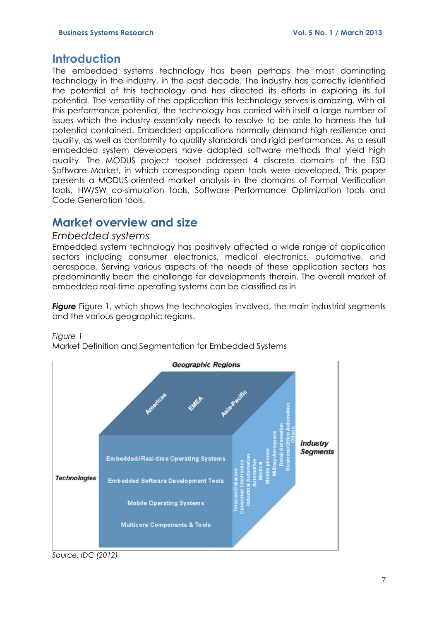## **Introduction**

The embedded systems technology has been perhaps the most dominating technology in the industry, in the past decade. The industry has correctly identified the potential of this technology and has directed its efforts in exploring its full potential. The versatility of the application this technology serves is amazing. With all this performance potential, the technology has carried with itself a large number of issues which the industry essentially needs to resolve to be able to harness the full potential contained. Embedded applications normally demand high resilience and quality, as well as conformity to quality standards and rigid performance. As a result embedded system developers have adopted software methods that yield high quality. The MODUS project toolset addressed 4 discrete domains of the ESD Software Market, in which corresponding open tools were developed. This paper presents a MODUS-oriented market analysis in the domains of Formal Verification tools, HW/SW co-simulation tools, Software Performance Optimization tools and Code Generation tools.

## **Market overview and size**

### *Embedded systems*

Embedded system technology has positively affected a wide range of application sectors including consumer electronics, medical electronics, automotive, and aerospace. Serving various aspects of the needs of these application sectors has predominantly been the challenge for developments therein. The overall market of embedded real-time operating systems can be classified as in

<span id="page-1-0"></span>**Figure** [Figure](#page-1-0) 1, which shows the technologies involved, the main industrial segments and the various geographic regions.

*Figure 1*

Market Definition and Segmentation for Embedded Systems



*Source: IDC (2012)*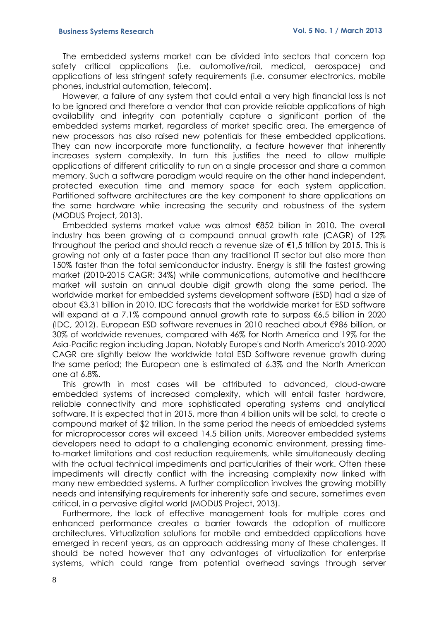The embedded systems market can be divided into sectors that concern top safety critical applications (i.e. automotive/rail, medical, aerospace) and applications of less stringent safety requirements (i.e. consumer electronics, mobile phones, industrial automation, telecom).

However, a failure of any system that could entail a very high financial loss is not to be ignored and therefore a vendor that can provide reliable applications of high availability and integrity can potentially capture a significant portion of the embedded systems market, regardless of market specific area. The emergence of new processors has also raised new potentials for these embedded applications. They can now incorporate more functionality, a feature however that inherently increases system complexity. In turn this justifies the need to allow multiple applications of different criticality to run on a single processor and share a common memory. Such a software paradigm would require on the other hand independent, protected execution time and memory space for each system application. Partitioned software architectures are the key component to share applications on the same hardware while increasing the security and robustness of the system (MODUS Project, 2013).

Embedded systems market value was almost €852 billion in 2010. The overall industry has been growing at a compound annual growth rate (CAGR) of 12% throughout the period and should reach a revenue size of  $\epsilon$ 1,5 trillion by 2015. This is growing not only at a faster pace than any traditional IT sector but also more than 150% faster than the total semiconductor industry. Energy is still the fastest growing market (2010-2015 CAGR: 34%) while communications, automotive and healthcare market will sustain an annual double digit growth along the same period. The worldwide market for embedded systems development software (ESD) had a size of about €3.31 billion in 2010. IDC forecasts that the worldwide market for ESD software will expand at a 7.1% compound annual growth rate to surpass €6,5 billion in 2020 (IDC, 2012). European ESD software revenues in 2010 reached about €986 billion, or 30% of worldwide revenues, compared with 46% for North America and 19% for the Asia-Pacific region including Japan. Notably Europe's and North America's 2010-2020 CAGR are slightly below the worldwide total ESD Software revenue growth during the same period; the European one is estimated at 6.3% and the North American one at 6.8%.

This growth in most cases will be attributed to advanced, cloud-aware embedded systems of increased complexity, which will entail faster hardware, reliable connectivity and more sophisticated operating systems and analytical software. It is expected that in 2015, more than 4 billion units will be sold, to create a compound market of \$2 trillion. In the same period the needs of embedded systems for microprocessor cores will exceed 14.5 billion units. Moreover embedded systems developers need to adapt to a challenging economic environment, pressing timeto-market limitations and cost reduction requirements, while simultaneously dealing with the actual technical impediments and particularities of their work. Often these impediments will directly conflict with the increasing complexity now linked with many new embedded systems. A further complication involves the growing mobility needs and intensifying requirements for inherently safe and secure, sometimes even critical, in a pervasive digital world (MODUS Project, 2013).

Furthermore, the lack of effective management tools for multiple cores and enhanced performance creates a barrier towards the adoption of multicore architectures. Virtualization solutions for mobile and embedded applications have emerged in recent years, as an approach addressing many of these challenges. It should be noted however that any advantages of virtualization for enterprise systems, which could range from potential overhead savings through server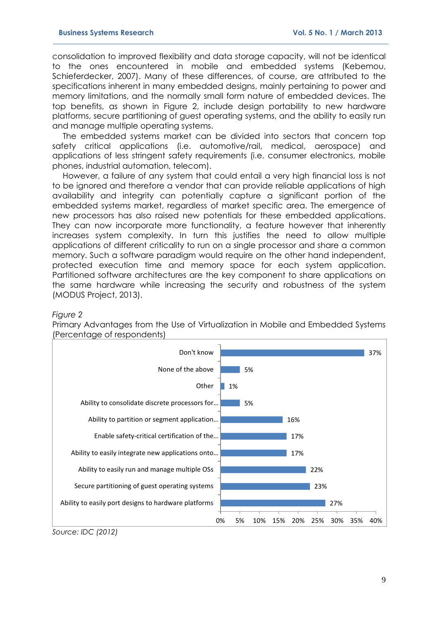consolidation to improved flexibility and data storage capacity, will not be identical to the ones encountered in mobile and embedded systems (Kebemou, Schieferdecker, 2007). Many of these differences, of course, are attributed to the specifications inherent in many embedded designs, mainly pertaining to power and memory limitations, and the normally small form nature of embedded devices. The top benefits, as shown in Figure 2, include design portability to new hardware platforms, secure partitioning of guest operating systems, and the ability to easily run and manage multiple operating systems.

The embedded systems market can be divided into sectors that concern top safety critical applications (i.e. automotive/rail, medical, aerospace) and applications of less stringent safety requirements (i.e. consumer electronics, mobile phones, industrial automation, telecom).

However, a failure of any system that could entail a very high financial loss is not to be ignored and therefore a vendor that can provide reliable applications of high availability and integrity can potentially capture a significant portion of the embedded systems market, regardless of market specific area. The emergence of new processors has also raised new potentials for these embedded applications. They can now incorporate more functionality, a feature however that inherently increases system complexity. In turn this justifies the need to allow multiple applications of different criticality to run on a single processor and share a common memory. Such a software paradigm would require on the other hand independent, protected execution time and memory space for each system application. Partitioned software architectures are the key component to share applications on the same hardware while increasing the security and robustness of the system (MODUS Project, 2013).

#### *Figure 2*

Primary Advantages from the Use of Virtualization in Mobile and Embedded Systems (Percentage of respondents)



*Source: IDC (2012)*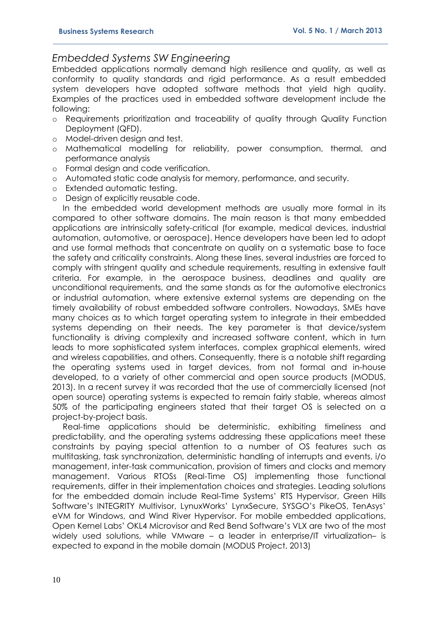### *Embedded Systems SW Engineering*

Embedded applications normally demand high resilience and quality, as well as conformity to quality standards and rigid performance. As a result embedded system developers have adopted software methods that yield high quality. Examples of the practices used in embedded software development include the following:

- o Requirements prioritization and traceability of quality through Quality Function Deployment (QFD).
- o Model-driven design and test.
- o Mathematical modelling for reliability, power consumption, thermal, and performance analysis
- o Formal design and code verification.
- o Automated static code analysis for memory, performance, and security.
- o Extended automatic testing.
- o Design of explicitly reusable code.

In the embedded world development methods are usually more formal in its compared to other software domains. The main reason is that many embedded applications are intrinsically safety-critical (for example, medical devices, industrial automation, automotive, or aerospace). Hence developers have been led to adopt and use formal methods that concentrate on quality on a systematic base to face the safety and criticality constraints. Along these lines, several industries are forced to comply with stringent quality and schedule requirements, resulting in extensive fault criteria. For example, in the aerospace business, deadlines and quality are unconditional requirements, and the same stands as for the automotive electronics or industrial automation, where extensive external systems are depending on the timely availability of robust embedded software controllers. Nowadays, SMEs have many choices as to which target operating system to integrate in their embedded systems depending on their needs. The key parameter is that device/system functionality is driving complexity and increased software content, which in turn leads to more sophisticated system interfaces, complex graphical elements, wired and wireless capabilities, and others. Consequently, there is a notable shift regarding the operating systems used in target devices, from not formal and in-house developed, to a variety of other commercial and open source products (MODUS, 2013). In a recent survey it was recorded that the use of commercially licensed (not open source) operating systems is expected to remain fairly stable, whereas almost 50% of the participating engineers stated that their target OS is selected on a project-by-project basis.

Real-time applications should be deterministic, exhibiting timeliness and predictability, and the operating systems addressing these applications meet these constraints by paying special attention to a number of OS features such as multitasking, task synchronization, deterministic handling of interrupts and events, i/o management, inter-task communication, provision of timers and clocks and memory management. Various RTOSs (Real-Time OS) implementing those functional requirements, differ in their implementation choices and strategies. Leading solutions for the embedded domain include Real-Time Systems' RTS Hypervisor, Green Hills Software's INTEGRITY Multivisor, LynuxWorks' LynxSecure, SYSGO's PikeOS, TenAsys' eVM for Windows, and Wind River Hypervisor. For mobile embedded applications, Open Kernel Labs' OKL4 Microvisor and Red Bend Software's VLX are two of the most widely used solutions, while VMware – a leader in enterprise/IT virtualization– is expected to expand in the mobile domain (MODUS Project, 2013)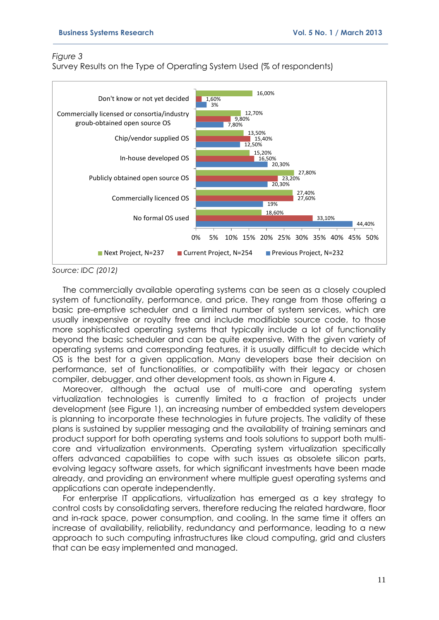#### *Figure 3*

Survey Results on the Type of Operating System Used (% of respondents)



*Source: IDC (2012)*

The commercially available operating systems can be seen as a closely coupled system of functionality, performance, and price. They range from those offering a basic pre-emptive scheduler and a limited number of system services, which are usually inexpensive or royalty free and include modifiable source code, to those more sophisticated operating systems that typically include a lot of functionality beyond the basic scheduler and can be quite expensive. With the given variety of operating systems and corresponding features, it is usually difficult to decide which OS is the best for a given application. Many developers base their decision on performance, set of functionalities, or compatibility with their legacy or chosen compiler, debugger, and other development tools, as shown in Figure 4.

Moreover, although the actual use of multi-core and operating system virtualization technologies is currently limited to a fraction of projects under development (see [Figure 1\)](#page-6-0), an increasing number of embedded system developers is planning to incorporate these technologies in future projects. The validity of these plans is sustained by supplier messaging and the availability of training seminars and product support for both operating systems and tools solutions to support both multicore and virtualization environments. Operating system virtualization specifically offers advanced capabilities to cope with such issues as obsolete silicon parts, evolving legacy software assets, for which significant investments have been made already, and providing an environment where multiple guest operating systems and applications can operate independently.

For enterprise IT applications, virtualization has emerged as a key strategy to control costs by consolidating servers, therefore reducing the related hardware, floor and in-rack space, power consumption, and cooling. In the same time it offers an increase of availability, reliability, redundancy and performance, leading to a new approach to such computing infrastructures like cloud computing, grid and clusters that can be easy implemented and managed.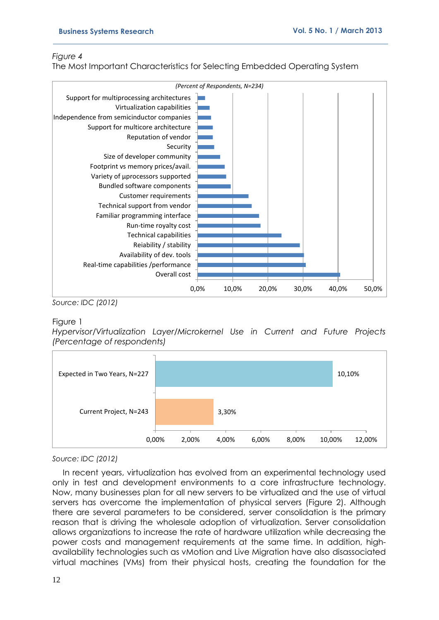#### *Figure 4*

The Most Important Characteristics for Selecting Embedded Operating System



*Source: IDC (2012)*

#### <span id="page-6-0"></span>Figure 1

*Hypervisor/Virtualization Layer/Microkernel Use in Current and Future Projects (Percentage of respondents)* 



#### *Source: IDC (2012)*

In recent years, virtualization has evolved from an experimental technology used only in test and development environments to a core infrastructure technology. Now, many businesses plan for all new servers to be virtualized and the use of virtual servers has overcome the implementation of physical servers [\(Figure 2\)](#page-7-0). Although there are several parameters to be considered, server consolidation is the primary reason that is driving the wholesale adoption of virtualization. Server consolidation allows organizations to increase the rate of hardware utilization while decreasing the power costs and management requirements at the same time. In addition, highavailability technologies such as vMotion and Live Migration have also disassociated virtual machines (VMs) from their physical hosts, creating the foundation for the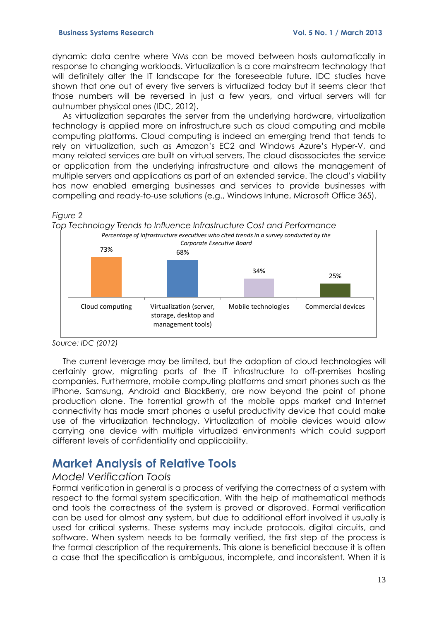dynamic data centre where VMs can be moved between hosts automatically in response to changing workloads. Virtualization is a core mainstream technology that will definitely alter the IT landscape for the foreseeable future. IDC studies have shown that one out of every five servers is virtualized today but it seems clear that those numbers will be reversed in just a few years, and virtual servers will far outnumber physical ones (IDC, 2012).

As virtualization separates the server from the underlying hardware, virtualization technology is applied more on infrastructure such as cloud computing and mobile computing platforms. Cloud computing is indeed an emerging trend that tends to rely on virtualization, such as Amazon's EC2 and Windows Azure's Hyper-V, and many related services are built on virtual servers. The cloud disassociates the service or application from the underlying infrastructure and allows the management of multiple servers and applications as part of an extended service. The cloud's viability has now enabled emerging businesses and services to provide businesses with compelling and ready-to-use solutions (e.g., Windows Intune, Microsoft Office 365).

#### <span id="page-7-0"></span>*Figure 2*



*Source: IDC (2012)*

The current leverage may be limited, but the adoption of cloud technologies will certainly grow, migrating parts of the IT infrastructure to off-premises hosting companies. Furthermore, mobile computing platforms and smart phones such as the iPhone, Samsung, Android and BlackBerry, are now beyond the point of phone production alone. The torrential growth of the mobile apps market and Internet connectivity has made smart phones a useful productivity device that could make use of the virtualization technology. Virtualization of mobile devices would allow carrying one device with multiple virtualized environments which could support different levels of confidentiality and applicability.

# **Market Analysis of Relative Tools**

#### *Model Verification Tools*

Formal verification in general is a process of verifying the correctness of a system with respect to the formal system specification. With the help of mathematical methods and tools the correctness of the system is proved or disproved. Formal verification can be used for almost any system, but due to additional effort involved it usually is used for critical systems. These systems may include protocols, digital circuits, and software. When system needs to be formally verified, the first step of the process is the formal description of the requirements. This alone is beneficial because it is often a case that the specification is ambiguous, incomplete, and inconsistent. When it is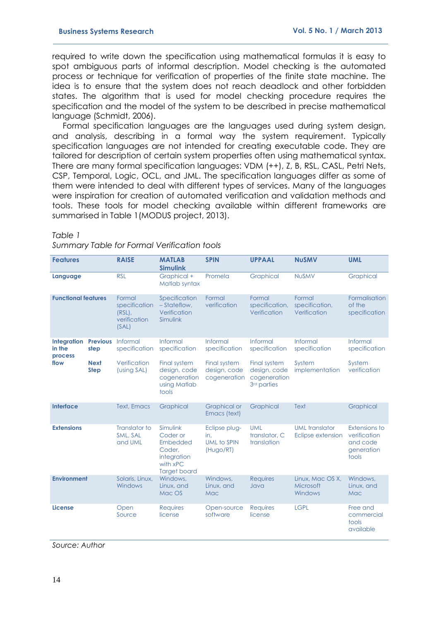required to write down the specification using mathematical formulas it is easy to spot ambiguous parts of informal description. Model checking is the automated process or technique for verification of properties of the finite state machine. The idea is to ensure that the system does not reach deadlock and other forbidden states. The algorithm that is used for model checking procedure requires the specification and the model of the system to be described in precise mathematical language (Schmidt, 2006).

Formal specification languages are the languages used during system design, and analysis, describing in a formal way the system requirement. Typically specification languages are not intended for creating executable code. They are tailored for description of certain system properties often using mathematical syntax. There are many formal specification languages: VDM (++), Z, B, RSL, CASL, Petri Nets, CSP, Temporal, Logic, OCL, and JML. The specification languages differ as some of them were intended to deal with different types of services. Many of the languages were inspiration for creation of automated verification and validation methods and tools. These tools for model checking available within different frameworks are summarised in Table 1(MODUS project, 2013).

#### *Table 1*

|  | Summary Table for Formal Verification tools |  |
|--|---------------------------------------------|--|
|  |                                             |  |

| <b>Features</b>                         |                            | <b>RAISE</b>                                                  | <b>MATLAB</b><br><b>Simulink</b>                                                             | <b>SPIN</b>                                             | <b>UPPAAL</b>                                                           | <b>NuSMV</b>                               | <b>UML</b>                                                       |
|-----------------------------------------|----------------------------|---------------------------------------------------------------|----------------------------------------------------------------------------------------------|---------------------------------------------------------|-------------------------------------------------------------------------|--------------------------------------------|------------------------------------------------------------------|
| Language                                |                            | <b>RSL</b>                                                    | Graphical +<br>Matlab syntax                                                                 | Promela                                                 | Graphical                                                               | <b>NUSMV</b>                               | Graphical                                                        |
| <b>Functional features</b>              |                            | Formal<br>specification<br>$(RSL)$ ,<br>verification<br>(SAL) | Specification<br>- Stateflow,<br>Verification<br>Simulink                                    | Formal<br>verification                                  | Formal<br>specification,<br>Verification                                | Formal<br>specification,<br>Verification   | Formalisation<br>of the<br>specification                         |
| <b>Integration</b><br>in the<br>process | <b>Previous</b><br>step    | Informal<br>specification                                     | Informal<br>specification                                                                    | Informal<br>specification                               | Informal<br>specification                                               | Informal<br>specification                  | Informal<br>specification                                        |
| flow                                    | <b>Next</b><br><b>Step</b> | Verification<br>(using SAL)                                   | Final system<br>design, code<br>cogeneration<br>using Matlab<br>tools                        | Final system<br>design, code<br>cogeneration            | Final system<br>design, code<br>cogeneration<br>3 <sup>rd</sup> parties | System<br>implementation                   | System<br>verification                                           |
| <b>Interface</b>                        |                            | <b>Text, Emacs</b>                                            | Graphical                                                                                    | <b>Graphical or</b><br>Emacs (text)                     | Graphical                                                               | Text                                       | Graphical                                                        |
| <b>Extensions</b>                       |                            | Translator to<br>SML, SAL<br>and UML                          | Simulink<br>Coder or<br>Embedded<br>Coder.<br>integration<br>with xPC<br><b>Target board</b> | Eclipse plug-<br>in.<br><b>UML to SPIN</b><br>(Hugo/RT) | <b>UML</b><br>translator, C<br>translation                              | <b>UML</b> translator<br>Eclipse extension | Extensions to<br>verification<br>and code<br>generation<br>tools |
| <b>Environment</b>                      |                            | Solaris, Linux,<br>Windows                                    | Windows,<br>Linux, and<br>Mac OS                                                             | Windows.<br>Linux, and<br>Mac                           | <b>Requires</b><br>Java                                                 | Linux, Mac OS X,<br>Microsoft<br>Windows   | Windows.<br>Linux, and<br>Mac                                    |
| <b>License</b>                          |                            | Open<br>Source                                                | <b>Requires</b><br>license                                                                   | Open-source<br>software                                 | <b>Requires</b><br>license                                              | <b>LGPL</b>                                | Free and<br>commercial<br>tools<br>available                     |

*Source: Author*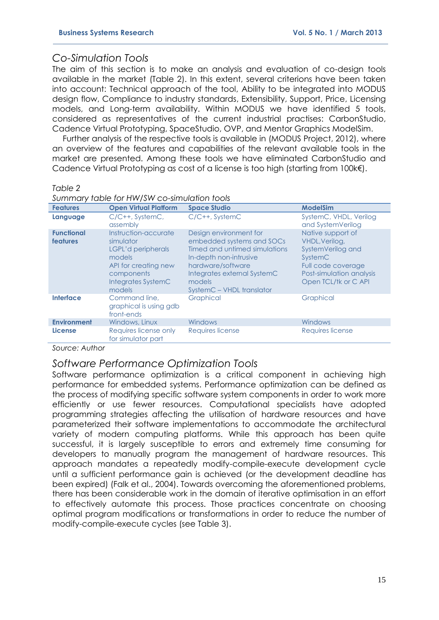### *Co-Simulation Tools*

The aim of this section is to make an analysis and evaluation of co-design tools available in the market (Table 2). In this extent, several criterions have been taken into account: Technical approach of the tool, Ability to be integrated into MODUS design flow, Compliance to industry standards, Extensibility, Support, Price, Licensing models, and Long-term availability. Within MODUS we have identified 5 tools, considered as representatives of the current industrial practises: CarbonStudio, Cadence Virtual Prototyping, SpaceStudio, OVP, and Mentor Graphics ModelSim.

Further analysis of the respective tools is available in (MODUS Project, 2012), where an overview of the features and capabilities of the relevant available tools in the market are presented. Among these tools we have eliminated CarbonStudio and Cadence Virtual Prototyping as cost of a license is too high (starting from 100k€).

#### *Table 2*

| <b>Features</b>                      | <b>Open Virtual Platform</b>                                                                                                            | <b>Space Studio</b>                                                                                                                                                                                       | <b>ModelSim</b>                                                                                                                               |
|--------------------------------------|-----------------------------------------------------------------------------------------------------------------------------------------|-----------------------------------------------------------------------------------------------------------------------------------------------------------------------------------------------------------|-----------------------------------------------------------------------------------------------------------------------------------------------|
| Language                             | $C/C++$ , SystemC,<br>assembly                                                                                                          | $C/C++$ , SystemC                                                                                                                                                                                         | SystemC, VHDL, Verilog<br>and SystemVerilog                                                                                                   |
| <b>Functional</b><br><b>features</b> | Instruction-accurate<br>simulator<br>LGPL'd peripherals<br>models<br>API for creating new<br>components<br>Integrates SystemC<br>models | Design environment for<br>embedded systems and SOCs<br>Timed and untimed simulations<br>In-depth non-intrusive<br>hardware/software<br>Integrates external SystemC<br>models<br>SystemC - VHDL translator | Native support of<br>VHDL, Verilog,<br>SystemVerilog and<br>SystemC<br>Full code coverage<br>Post-simulation analysis<br>Open TCL/tk or C API |
| Interface                            | Command line,<br>graphical is using gdb<br>front-ends                                                                                   | <b>Graphical</b>                                                                                                                                                                                          | Graphical                                                                                                                                     |
| <b>Environment</b>                   | Windows, Linux                                                                                                                          | Windows                                                                                                                                                                                                   | <b>Windows</b>                                                                                                                                |
| <b>License</b>                       | Requires license only<br>for simulator part                                                                                             | Requires license                                                                                                                                                                                          | Requires license                                                                                                                              |

*Source: Author*

### *Software Performance Optimization Tools*

Software performance optimization is a critical component in achieving high performance for embedded systems. Performance optimization can be defined as the process of modifying specific software system components in order to work more efficiently or use fewer resources. Computational specialists have adopted programming strategies affecting the utilisation of hardware resources and have parameterized their software implementations to accommodate the architectural variety of modern computing platforms. While this approach has been quite successful, it is largely susceptible to errors and extremely time consuming for developers to manually program the management of hardware resources. This approach mandates a repeatedly modify-compile-execute development cycle until a sufficient performance gain is achieved (or the development deadline has been expired) (Falk et al., 2004). Towards overcoming the aforementioned problems, there has been considerable work in the domain of iterative optimisation in an effort to effectively automate this process. Those practices concentrate on choosing optimal program modifications or transformations in order to reduce the number of modify-compile-execute cycles (see Table 3).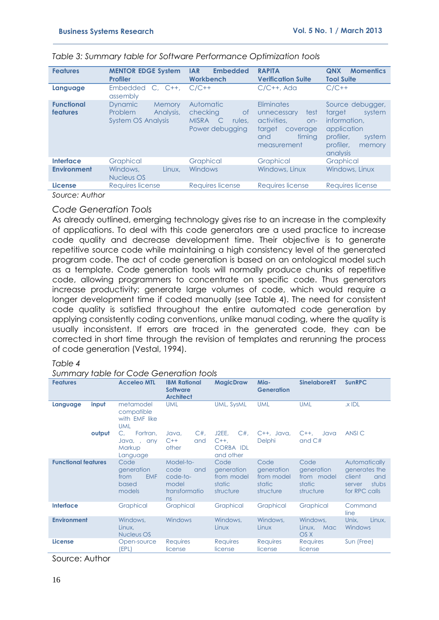| <b>Features</b>                      | <b>MENTOR EDGE System</b><br><b>Profiler</b>                                  | <b>Embedded</b><br><b>IAR</b><br><b>Workbench</b>                                               | <b>RAPITA</b><br><b>Verification Suite</b>                                                                      | <b>Momentics</b><br><b>QNX</b><br><b>Tool Suite</b>                                                                           |
|--------------------------------------|-------------------------------------------------------------------------------|-------------------------------------------------------------------------------------------------|-----------------------------------------------------------------------------------------------------------------|-------------------------------------------------------------------------------------------------------------------------------|
| Language                             | <b>Embedded</b><br>$C. C++.$<br>assembly                                      | $C/C++$                                                                                         | $C/C++$ , Ada                                                                                                   | $C/C++$                                                                                                                       |
| <b>Functional</b><br><b>features</b> | <b>Dynamic</b><br>Memory<br>Analysis,<br>Problem<br><b>System OS Analysis</b> | Automatic<br>checking<br><b>of</b><br><b>MISRA</b><br>$\mathsf{C}$<br>rules.<br>Power debugging | Eliminates<br>test<br>unnecessary<br>activities.<br>$on-$<br>target<br>coverage<br>timing<br>and<br>measurement | Source debugger,<br>system<br>target<br>information.<br>application<br>profiler,<br>system<br>profiler,<br>memory<br>analysis |
| Interface                            | Graphical                                                                     | Graphical                                                                                       | Graphical                                                                                                       | Graphical                                                                                                                     |
| <b>Environment</b>                   | Windows,<br>Linux.<br>Nucleus OS                                              | <b>Windows</b>                                                                                  | Windows, Linux                                                                                                  | Windows, Linux                                                                                                                |
| <b>License</b>                       | Requires license                                                              | Requires license                                                                                | <b>Requires license</b>                                                                                         | Requires license                                                                                                              |
| $\cdots$                             |                                                                               |                                                                                                 |                                                                                                                 |                                                                                                                               |

#### *Table 3: Summary table for Software Performance Optimization tools*

*Source: Author*

#### *Code Generation Tools*

As already outlined, emerging technology gives rise to an increase in the complexity of applications. To deal with this code generators are a used practice to increase code quality and decrease development time. Their objective is to generate repetitive source code while maintaining a high consistency level of the generated program code. The act of code generation is based on an ontological model such as a template. Code generation tools will normally produce chunks of repetitive code, allowing programmers to concentrate on specific code. Thus generators increase productivity; generate large volumes of code, which would require a longer development time if coded manually (see Table 4). The need for consistent code quality is satisfied throughout the entire automated code generation by applying consistently coding conventions, unlike manual coding, where the quality is usually inconsistent. If errors are traced in the generated code, they can be corrected in short time through the revision of templates and rerunning the process of code generation (Vestal, 1994).

#### *Table 4*

#### *Summary table for Code Generation tools*

| <b>Features</b>            | <b>Acceleo MTL</b>                                          | <b>IBM Rational</b><br><b>Software</b><br><b>Architect</b>           | <b>MagicDraw</b>                                          | Mia-<br><b>Generation</b>                               | <b>SinelaboreRT</b>                                     | <b>SunRPC</b>                                                                       |
|----------------------------|-------------------------------------------------------------|----------------------------------------------------------------------|-----------------------------------------------------------|---------------------------------------------------------|---------------------------------------------------------|-------------------------------------------------------------------------------------|
| input<br>Language          | metamodel<br>compatible<br>with EMF like<br><b>UML</b>      | <b>UML</b>                                                           | UML, SysML                                                | <b>UML</b>                                              | <b>UML</b>                                              | $x$ IDL                                                                             |
| output                     | Fortran,<br>C.<br>Java.,<br>any<br>Markup<br>Language       | $C#$ ,<br>Java,<br>$C++$<br>and<br>other                             | $C#$ ,<br>J2EE.<br>$C++$<br><b>CORBA IDL</b><br>and other | $C++$ , Java,<br>Delphi                                 | $C++$<br>Java<br>and $C#$                               | ANSI C                                                                              |
| <b>Functional features</b> | Code<br>generation<br><b>EMF</b><br>from<br>based<br>models | Model-to-<br>code<br>and<br>code-to-<br>model<br>transformatio<br>ns | Code<br>generation<br>from model<br>static<br>structure   | Code<br>generation<br>from model<br>static<br>structure | Code<br>generation<br>from model<br>static<br>structure | Automatically<br>generates the<br>client<br>and<br>stubs<br>server<br>for RPC calls |
| <b>Interface</b>           | Graphical                                                   | Graphical                                                            | Graphical                                                 | Graphical                                               | Graphical                                               | Command<br>line                                                                     |
| <b>Environment</b>         | Windows,<br>Linux,<br>Nucleus OS                            | Windows                                                              | Windows,<br>Linux                                         | Windows,<br>Linux                                       | Windows,<br>Linux,<br>Mac<br>OS X                       | Unix.<br>Linux,<br>Windows                                                          |
| <b>License</b>             | Open-source<br>(EPL)                                        | Requires<br>license                                                  | Requires<br>license                                       | <b>Requires</b><br>license                              | <b>Requires</b><br>license                              | Sun (Free)                                                                          |

Source: Author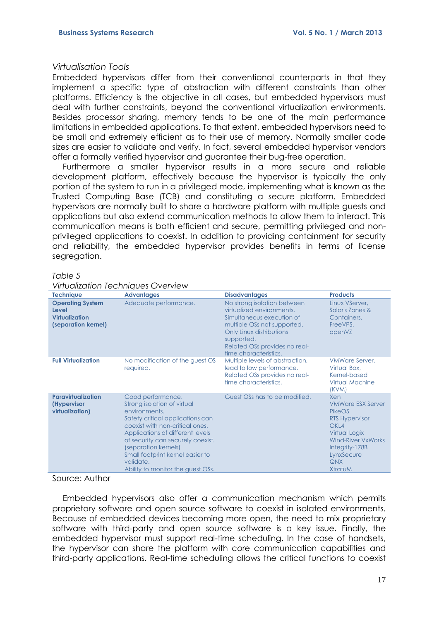#### *Virtualisation Tools*

Embedded hypervisors differ from their conventional counterparts in that they implement a specific type of abstraction with different constraints than other platforms. Efficiency is the objective in all cases, but embedded hypervisors must deal with further constraints, beyond the conventional virtualization environments. Besides processor sharing, memory tends to be one of the main performance limitations in embedded applications. To that extent, embedded hypervisors need to be small and extremely efficient as to their use of memory. Normally smaller code sizes are easier to validate and verify. In fact, several embedded hypervisor vendors offer a formally verified hypervisor and guarantee their bug-free operation.

Furthermore a smaller hypervisor results in a more secure and reliable development platform, effectively because the hypervisor is typically the only portion of the system to run in a privileged mode, implementing what is known as the Trusted Computing Base (TCB) and constituting a secure platform. Embedded hypervisors are normally built to share a hardware platform with multiple guests and applications but also extend communication methods to allow them to interact. This communication means is both efficient and secure, permitting privileged and nonprivileged applications to coexist. In addition to providing containment for security and reliability, the embedded hypervisor provides benefits in terms of license segregation.

#### *Table 5*

#### *Virtualization Techniques Overview*

| <b>Technique</b>                                                                 | <b>Advantages</b>                                                                                                                                                                                                                                                                                                               | <b>Disadvantages</b>                                                                                                                                                                                                     | <b>Products</b>                                                                                                                                                                                      |
|----------------------------------------------------------------------------------|---------------------------------------------------------------------------------------------------------------------------------------------------------------------------------------------------------------------------------------------------------------------------------------------------------------------------------|--------------------------------------------------------------------------------------------------------------------------------------------------------------------------------------------------------------------------|------------------------------------------------------------------------------------------------------------------------------------------------------------------------------------------------------|
| <b>Operating System</b><br>Level<br><b>Virtualization</b><br>(separation kernel) | Adequate performance.                                                                                                                                                                                                                                                                                                           | No strong isolation between<br>virtualized environments.<br>Simultaneous execution of<br>multiple OSs not supported.<br>Only Linux distributions<br>supported.<br>Related OSs provides no real-<br>time characteristics. | Linux VServer,<br>Solaris Zones &<br>Containers,<br>FreeVPS,<br>openVZ                                                                                                                               |
| <b>Full Virtualization</b>                                                       | No modification of the guest OS<br>required.                                                                                                                                                                                                                                                                                    | Multiple levels of abstraction,<br>lead to low performance.<br>Related OSs provides no real-<br>time characteristics.                                                                                                    | <b>VMWare Server,</b><br>Virtual Box,<br>Kernel-based<br>Virtual Machine<br>(KVM)                                                                                                                    |
| <b>Paravirtualization</b><br>(Hypervisor<br>virtualization)                      | Good performance.<br>Strong isolation of virtual<br>environments.<br>Safety critical applications can<br>coexist with non-critical ones.<br>Applications of different levels<br>of security can securely coexist.<br>(separation kernels)<br>Small footprint kernel easier to<br>validate.<br>Ability to monitor the guest OSs. | Guest OSs has to be modified.                                                                                                                                                                                            | Xen<br><b>VMWare ESX Server</b><br>PikeOS<br><b>RTS Hypervisor</b><br>OKL <sub>4</sub><br>Virtual Logix<br><b>Wind-River VxWorks</b><br>Integrity-178B<br>LynxSecure<br><b>QNX</b><br><b>XtratuM</b> |

#### Source: Author

Embedded hypervisors also offer a communication mechanism which permits proprietary software and open source software to coexist in isolated environments. Because of embedded devices becoming more open, the need to mix proprietary software with third-party and open source software is a key issue. Finally, the embedded hypervisor must support real-time scheduling. In the case of handsets, the hypervisor can share the platform with core communication capabilities and third-party applications. Real-time scheduling allows the critical functions to coexist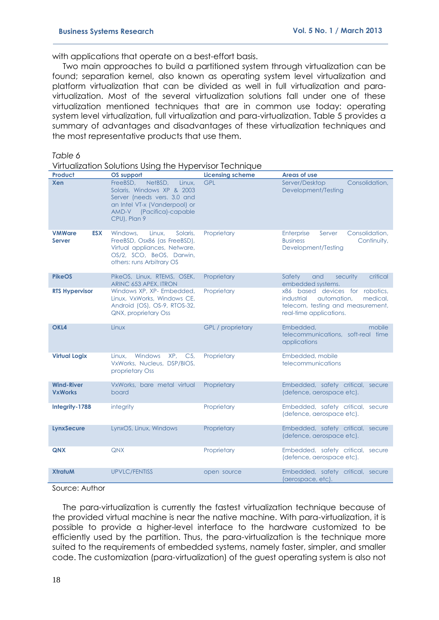with applications that operate on a best-effort basis.

Two main approaches to build a partitioned system through virtualization can be found; separation kernel, also known as operating system level virtualization and platform virtualization that can be divided as well in full virtualization and paravirtualization. Most of the several virtualization solutions fall under one of these virtualization mentioned techniques that are in common use today: operating system level virtualization, full virtualization and para-virtualization. Table 5 provides a summary of advantages and disadvantages of these virtualization techniques and the most representative products that use them.

#### *Table 6*

Virtualization Solutions Using the Hypervisor Technique

| <b>Product</b>                               | OS support                                                                                                                                                              | <b>Licensing scheme</b>  | Areas of use                                                                                                                             |
|----------------------------------------------|-------------------------------------------------------------------------------------------------------------------------------------------------------------------------|--------------------------|------------------------------------------------------------------------------------------------------------------------------------------|
| <b>Xen</b>                                   | FreeBSD.<br>NetBSD.<br>Linux.<br>Solaris, Windows XP & 2003<br>Server (needs vers. 3.0 and<br>an Intel VT-x (Vanderpool) or<br>AMD-V (Pacifica)-capable<br>CPU), Plan 9 | <b>GPL</b>               | Consolidation,<br>Server/Desktop<br>Development/Testing                                                                                  |
| <b>VMWare</b><br><b>ESX</b><br><b>Server</b> | Windows.<br>Linux.<br>Solaris,<br>FreeBSD, Osx86 (as FreeBSD),<br>Virtual appliances, Netware,<br>OS/2, SCO, BeOS, Darwin,<br>others: runs Arbitrary OS                 | Proprietary              | Consolidation,<br>Enterprise<br>Server<br><b>Business</b><br>Continuity,<br>Development/Testing                                          |
| <b>PikeOS</b>                                | PikeOS, Linux, RTEMS, OSEK,<br>ARINC 653 APEX, ITRON                                                                                                                    | Proprietary              | Safety<br>and<br>critical<br>security<br>embedded systems.                                                                               |
| <b>RTS Hypervisor</b>                        | Windows XP, XP- Embedded,<br>Linux, VxWorks, Windows CE,<br>Android (OS), OS-9, RTOS-32,<br><b>QNX, proprietary Oss</b>                                                 | Proprietary              | x86 based devices for robotics,<br>automation.<br>medical.<br>industrial<br>telecom, testing and measurement,<br>real-time applications. |
| OKL <sub>4</sub>                             | Linux                                                                                                                                                                   | <b>GPL</b> / proprietary | Embedded,<br>mobile<br>telecommunications, soft-real time<br>applications                                                                |
| <b>Virtual Logix</b>                         | Windows<br>XP, C5,<br>Linux.<br>VxWorks, Nucleus, DSP/BIOS,<br>proprietary Oss                                                                                          | Proprietary              | Embedded, mobile<br>telecommunications                                                                                                   |
| <b>Wind-River</b><br><b>VxWorks</b>          | VxWorks, bare metal virtual<br>board                                                                                                                                    | Proprietary              | Embedded, safety critical, secure<br>(defence, aerospace etc).                                                                           |
| Integrity-178B                               | integrity                                                                                                                                                               | Proprietary              | Embedded, safety critical, secure<br>(defence, aerospace etc).                                                                           |
| LynxSecure                                   | LynxOS, Linux, Windows                                                                                                                                                  | Proprietary              | Embedded, safety critical, secure<br>(defence, aerospace etc).                                                                           |
| <b>QNX</b>                                   | <b>QNX</b>                                                                                                                                                              | Proprietary              | Embedded, safety critical, secure<br>(defence, aerospace etc).                                                                           |
| <b>XtratuM</b>                               | <b>UPVLC/FENTISS</b>                                                                                                                                                    | open source              | Embedded, safety critical, secure<br>(aerospace, etc).                                                                                   |

#### Source: Author

The para-virtualization is currently the fastest virtualization technique because of the provided virtual machine is near the native machine. With para-virtualization, it is possible to provide a higher-level interface to the hardware customized to be efficiently used by the partition. Thus, the para-virtualization is the technique more suited to the requirements of embedded systems, namely faster, simpler, and smaller code. The customization (para-virtualization) of the guest operating system is also not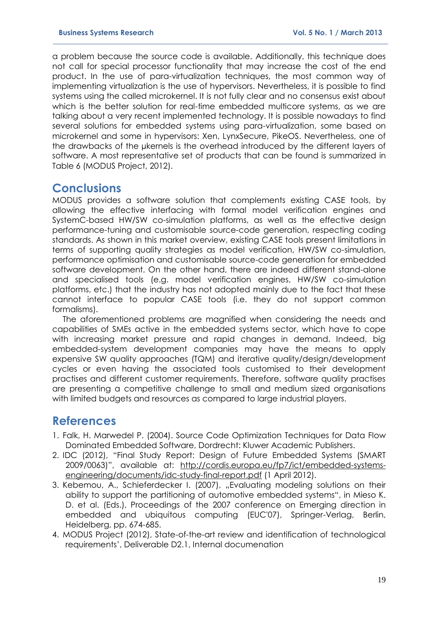a problem because the source code is available. Additionally, this technique does not call for special processor functionality that may increase the cost of the end product. In the use of para-virtualization techniques, the most common way of implementing virtualization is the use of hypervisors. Nevertheless, it is possible to find systems using the called microkernel. It is not fully clear and no consensus exist about which is the better solution for real-time embedded multicore systems, as we are talking about a very recent implemented technology. It is possible nowadays to find several solutions for embedded systems using para-virtualization, some based on microkernel and some in hypervisors: Xen, LynxSecure, PikeOS. Nevertheless, one of the drawbacks of the µkernels is the overhead introduced by the different layers of software. A most representative set of products that can be found is summarized in Table 6 (MODUS Project, 2012).

## **Conclusions**

MODUS provides a software solution that complements existing CASE tools, by allowing the effective interfacing with formal model verification engines and SystemC-based HW/SW co-simulation platforms, as well as the effective design performance-tuning and customisable source-code generation, respecting coding standards. As shown in this market overview, existing CASE tools present limitations in terms of supporting quality strategies as model verification, HW/SW co-simulation, performance optimisation and customisable source-code generation for embedded software development. On the other hand, there are indeed different stand-alone and specialised tools (e.g. model verification engines, HW/SW co-simulation platforms, etc.) that the industry has not adopted mainly due to the fact that these cannot interface to popular CASE tools (i.e. they do not support common formalisms).

The aforementioned problems are magnified when considering the needs and capabilities of SMEs active in the embedded systems sector, which have to cope with increasing market pressure and rapid changes in demand. Indeed, big embedded-system development companies may have the means to apply expensive SW quality approaches (TQM) and iterative quality/design/development cycles or even having the associated tools customised to their development practises and different customer requirements. Therefore, software quality practises are presenting a competitive challenge to small and medium sized organisations with limited budgets and resources as compared to large industrial players.

## **References**

- 1. Falk, H. Marwedel P. (2004). Source Code Optimization Techniques for Data Flow Dominated Embedded Software, Dordrecht: Kluwer Academic Publishers.
- 2. IDC (2012), "Final Study Report: Design of Future Embedded Systems (SMART 2009/0063)", available at: [http://cordis.europa.eu/fp7/ict/embedded-systems](http://cordis.europa.eu/fp7/ict/embedded-systems-engineering/documents/idc-study-final-report.pdf)[engineering/documents/idc-study-final-report.pdf](http://cordis.europa.eu/fp7/ict/embedded-systems-engineering/documents/idc-study-final-report.pdf) (1 April 2012).
- 3. Kebemou, A., Schieferdecker I. (2007), "Evaluating modeling solutions on their ability to support the partitioning of automotive embedded systems", in Mieso K. D. et al. (Eds.), Proceedings of the 2007 conference on Emerging direction in embedded and ubiquitous computing (EUC'07), Springer-Verlag, Berlin, Heidelberg, pp. 674-685.
- 4. MODUS Project (2012), State-of-the-art review and identification of technological requirements', Deliverable D2.1, Internal documenation